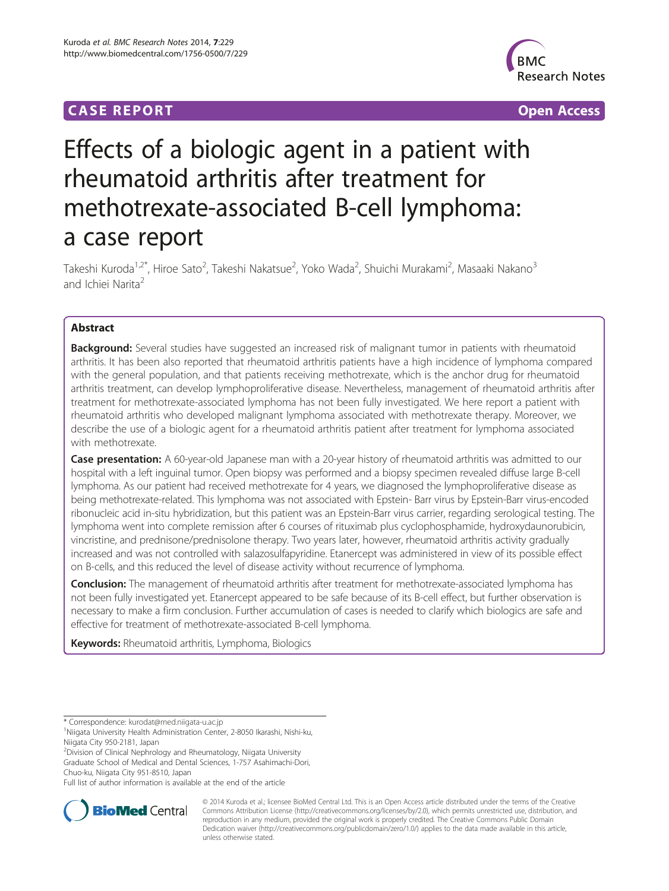# **CASE REPORT CASE REPORT CASE ACCESS**



# Effects of a biologic agent in a patient with rheumatoid arthritis after treatment for methotrexate-associated B-cell lymphoma: a case report

Takeshi Kuroda<sup>1,2\*</sup>, Hiroe Sato<sup>2</sup>, Takeshi Nakatsue<sup>2</sup>, Yoko Wada<sup>2</sup>, Shuichi Murakami<sup>2</sup>, Masaaki Nakano<sup>3</sup> and Ichiei Narita<sup>2</sup>

# Abstract

Background: Several studies have suggested an increased risk of malignant tumor in patients with rheumatoid arthritis. It has been also reported that rheumatoid arthritis patients have a high incidence of lymphoma compared with the general population, and that patients receiving methotrexate, which is the anchor drug for rheumatoid arthritis treatment, can develop lymphoproliferative disease. Nevertheless, management of rheumatoid arthritis after treatment for methotrexate-associated lymphoma has not been fully investigated. We here report a patient with rheumatoid arthritis who developed malignant lymphoma associated with methotrexate therapy. Moreover, we describe the use of a biologic agent for a rheumatoid arthritis patient after treatment for lymphoma associated with methotrexate.

Case presentation: A 60-year-old Japanese man with a 20-year history of rheumatoid arthritis was admitted to our hospital with a left inguinal tumor. Open biopsy was performed and a biopsy specimen revealed diffuse large B-cell lymphoma. As our patient had received methotrexate for 4 years, we diagnosed the lymphoproliferative disease as being methotrexate-related. This lymphoma was not associated with Epstein- Barr virus by Epstein-Barr virus-encoded ribonucleic acid in-situ hybridization, but this patient was an Epstein-Barr virus carrier, regarding serological testing. The lymphoma went into complete remission after 6 courses of rituximab plus cyclophosphamide, hydroxydaunorubicin, vincristine, and prednisone/prednisolone therapy. Two years later, however, rheumatoid arthritis activity gradually increased and was not controlled with salazosulfapyridine. Etanercept was administered in view of its possible effect on B-cells, and this reduced the level of disease activity without recurrence of lymphoma.

**Conclusion:** The management of rheumatoid arthritis after treatment for methotrexate-associated lymphoma has not been fully investigated yet. Etanercept appeared to be safe because of its B-cell effect, but further observation is necessary to make a firm conclusion. Further accumulation of cases is needed to clarify which biologics are safe and effective for treatment of methotrexate-associated B-cell lymphoma.

Keywords: Rheumatoid arthritis, Lymphoma, Biologics

<sup>2</sup> Division of Clinical Nephrology and Rheumatology, Niigata University Graduate School of Medical and Dental Sciences, 1-757 Asahimachi-Dori, Chuo-ku, Niigata City 951-8510, Japan

Full list of author information is available at the end of the article



© 2014 Kuroda et al.; licensee BioMed Central Ltd. This is an Open Access article distributed under the terms of the Creative Commons Attribution License [\(http://creativecommons.org/licenses/by/2.0\)](http://creativecommons.org/licenses/by/2.0), which permits unrestricted use, distribution, and reproduction in any medium, provided the original work is properly credited. The Creative Commons Public Domain Dedication waiver [\(http://creativecommons.org/publicdomain/zero/1.0/](http://creativecommons.org/publicdomain/zero/1.0/)) applies to the data made available in this article, unless otherwise stated.

<sup>\*</sup> Correspondence: [kurodat@med.niigata-u.ac.jp](mailto:kurodat@med.niigata-u.ac.jp) <sup>1</sup>

Niigata University Health Administration Center, 2-8050 Ikarashi, Nishi-ku, Niigata City 950-2181, Japan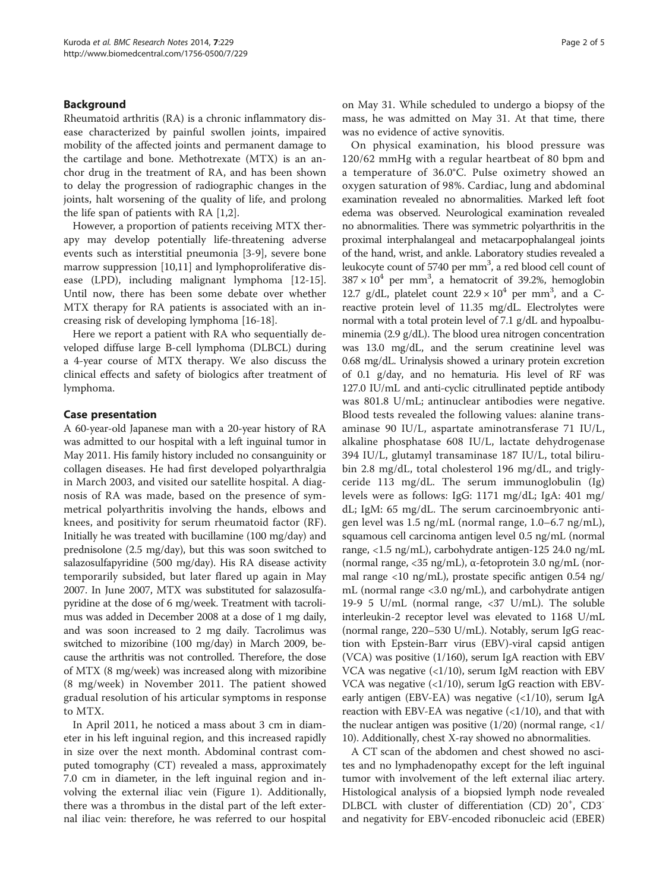## Background

Rheumatoid arthritis (RA) is a chronic inflammatory disease characterized by painful swollen joints, impaired mobility of the affected joints and permanent damage to the cartilage and bone. Methotrexate (MTX) is an anchor drug in the treatment of RA, and has been shown to delay the progression of radiographic changes in the joints, halt worsening of the quality of life, and prolong the life span of patients with RA [[1,2\]](#page-3-0).

However, a proportion of patients receiving MTX therapy may develop potentially life-threatening adverse events such as interstitial pneumonia [\[3-](#page-3-0)[9](#page-4-0)], severe bone marrow suppression [\[10,11\]](#page-4-0) and lymphoproliferative disease (LPD), including malignant lymphoma [\[12-15](#page-4-0)]. Until now, there has been some debate over whether MTX therapy for RA patients is associated with an increasing risk of developing lymphoma [\[16](#page-4-0)-[18\]](#page-4-0).

Here we report a patient with RA who sequentially developed diffuse large B-cell lymphoma (DLBCL) during a 4-year course of MTX therapy. We also discuss the clinical effects and safety of biologics after treatment of lymphoma.

## Case presentation

A 60-year-old Japanese man with a 20-year history of RA was admitted to our hospital with a left inguinal tumor in May 2011. His family history included no consanguinity or collagen diseases. He had first developed polyarthralgia in March 2003, and visited our satellite hospital. A diagnosis of RA was made, based on the presence of symmetrical polyarthritis involving the hands, elbows and knees, and positivity for serum rheumatoid factor (RF). Initially he was treated with bucillamine (100 mg/day) and prednisolone (2.5 mg/day), but this was soon switched to salazosulfapyridine (500 mg/day). His RA disease activity temporarily subsided, but later flared up again in May 2007. In June 2007, MTX was substituted for salazosulfapyridine at the dose of 6 mg/week. Treatment with tacrolimus was added in December 2008 at a dose of 1 mg daily, and was soon increased to 2 mg daily. Tacrolimus was switched to mizoribine (100 mg/day) in March 2009, because the arthritis was not controlled. Therefore, the dose of MTX (8 mg/week) was increased along with mizoribine (8 mg/week) in November 2011. The patient showed gradual resolution of his articular symptoms in response to MTX.

In April 2011, he noticed a mass about 3 cm in diameter in his left inguinal region, and this increased rapidly in size over the next month. Abdominal contrast computed tomography (CT) revealed a mass, approximately 7.0 cm in diameter, in the left inguinal region and involving the external iliac vein (Figure [1](#page-2-0)). Additionally, there was a thrombus in the distal part of the left external iliac vein: therefore, he was referred to our hospital on May 31. While scheduled to undergo a biopsy of the mass, he was admitted on May 31. At that time, there was no evidence of active synovitis.

On physical examination, his blood pressure was 120/62 mmHg with a regular heartbeat of 80 bpm and a temperature of 36.0°C. Pulse oximetry showed an oxygen saturation of 98%. Cardiac, lung and abdominal examination revealed no abnormalities. Marked left foot edema was observed. Neurological examination revealed no abnormalities. There was symmetric polyarthritis in the proximal interphalangeal and metacarpophalangeal joints of the hand, wrist, and ankle. Laboratory studies revealed a leukocyte count of 5740 per mm<sup>3</sup>, a red blood cell count of  $387 \times 10^4$  per mm<sup>3</sup>, a hematocrit of 39.2%, hemoglobin 12.7 g/dL, platelet count  $22.9 \times 10^4$  per mm<sup>3</sup>, and a Creactive protein level of 11.35 mg/dL. Electrolytes were normal with a total protein level of 7.1 g/dL and hypoalbuminemia (2.9 g/dL). The blood urea nitrogen concentration was 13.0 mg/dL, and the serum creatinine level was 0.68 mg/dL. Urinalysis showed a urinary protein excretion of 0.1 g/day, and no hematuria. His level of RF was 127.0 IU/mL and anti-cyclic citrullinated peptide antibody was 801.8 U/mL; antinuclear antibodies were negative. Blood tests revealed the following values: alanine transaminase 90 IU/L, aspartate aminotransferase 71 IU/L, alkaline phosphatase 608 IU/L, lactate dehydrogenase 394 IU/L, glutamyl transaminase 187 IU/L, total bilirubin 2.8 mg/dL, total cholesterol 196 mg/dL, and triglyceride 113 mg/dL. The serum immunoglobulin (Ig) levels were as follows: IgG: 1171 mg/dL; IgA: 401 mg/ dL; IgM: 65 mg/dL. The serum carcinoembryonic antigen level was 1.5 ng/mL (normal range, 1.0–6.7 ng/mL), squamous cell carcinoma antigen level 0.5 ng/mL (normal range, <1.5 ng/mL), carbohydrate antigen-125 24.0 ng/mL (normal range, <35 ng/mL), α-fetoprotein 3.0 ng/mL (normal range <10 ng/mL), prostate specific antigen 0.54 ng/ mL (normal range <3.0 ng/mL), and carbohydrate antigen 19-9 5 U/mL (normal range, <37 U/mL). The soluble interleukin-2 receptor level was elevated to 1168 U/mL (normal range, 220–530 U/mL). Notably, serum IgG reaction with Epstein-Barr virus (EBV)-viral capsid antigen (VCA) was positive (1/160), serum IgA reaction with EBV VCA was negative  $\left( \frac{1}{10} \right)$ , serum IgM reaction with EBV VCA was negative  $\left($ <1/10), serum IgG reaction with EBVearly antigen (EBV-EA) was negative  $\left\langle \frac{1}{10} \right\rangle$ , serum IgA reaction with EBV-EA was negative  $\left( \frac{1}{10} \right)$ , and that with the nuclear antigen was positive  $(1/20)$  (normal range,  $\langle 1/2 \rangle$ 10). Additionally, chest X-ray showed no abnormalities.

A CT scan of the abdomen and chest showed no ascites and no lymphadenopathy except for the left inguinal tumor with involvement of the left external iliac artery. Histological analysis of a biopsied lymph node revealed DLBCL with cluster of differentiation (CD) 20<sup>+</sup>, CD3<sup>-</sup> and negativity for EBV-encoded ribonucleic acid (EBER)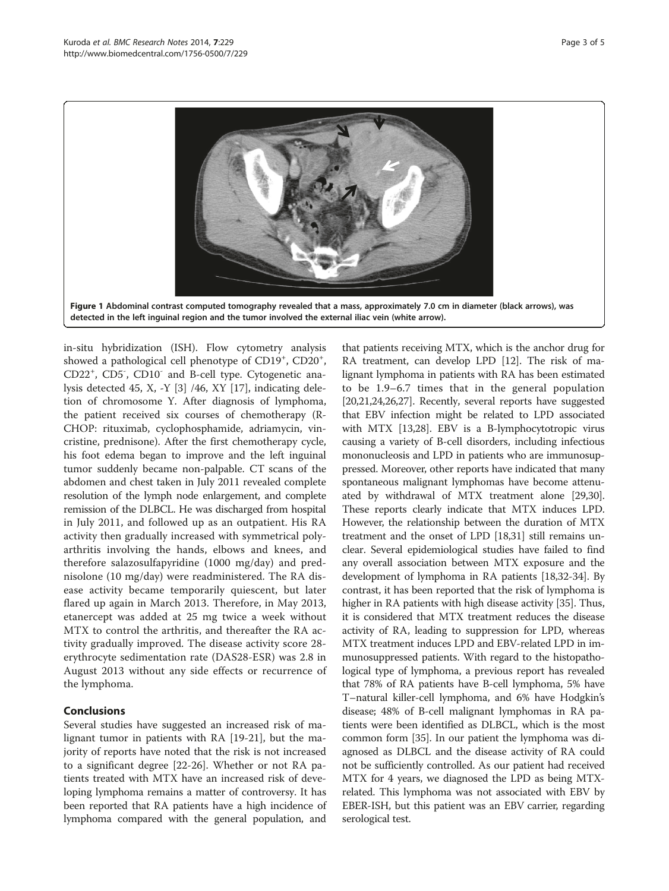<span id="page-2-0"></span>

in-situ hybridization (ISH). Flow cytometry analysis showed a pathological cell phenotype of CD19<sup>+</sup>, CD20<sup>+</sup>, CD22<sup>+</sup> , CD5- , CD10- and B-cell type. Cytogenetic analysis detected 45, X, -Y [\[3](#page-3-0)] /46, XY [\[17\]](#page-4-0), indicating deletion of chromosome Y. After diagnosis of lymphoma, the patient received six courses of chemotherapy (R-CHOP: rituximab, cyclophosphamide, adriamycin, vincristine, prednisone). After the first chemotherapy cycle, his foot edema began to improve and the left inguinal tumor suddenly became non-palpable. CT scans of the abdomen and chest taken in July 2011 revealed complete resolution of the lymph node enlargement, and complete remission of the DLBCL. He was discharged from hospital in July 2011, and followed up as an outpatient. His RA activity then gradually increased with symmetrical polyarthritis involving the hands, elbows and knees, and therefore salazosulfapyridine (1000 mg/day) and prednisolone (10 mg/day) were readministered. The RA disease activity became temporarily quiescent, but later flared up again in March 2013. Therefore, in May 2013, etanercept was added at 25 mg twice a week without MTX to control the arthritis, and thereafter the RA activity gradually improved. The disease activity score 28 erythrocyte sedimentation rate (DAS28-ESR) was 2.8 in August 2013 without any side effects or recurrence of the lymphoma.

# Conclusions

Several studies have suggested an increased risk of malignant tumor in patients with RA [[19-21](#page-4-0)], but the majority of reports have noted that the risk is not increased to a significant degree [\[22-26](#page-4-0)]. Whether or not RA patients treated with MTX have an increased risk of developing lymphoma remains a matter of controversy. It has been reported that RA patients have a high incidence of lymphoma compared with the general population, and

that patients receiving MTX, which is the anchor drug for RA treatment, can develop LPD [[12](#page-4-0)]. The risk of malignant lymphoma in patients with RA has been estimated to be 1.9–6.7 times that in the general population [[20](#page-4-0),[21,24,26,27](#page-4-0)]. Recently, several reports have suggested that EBV infection might be related to LPD associated with MTX [\[13,28](#page-4-0)]. EBV is a B-lymphocytotropic virus causing a variety of B-cell disorders, including infectious mononucleosis and LPD in patients who are immunosuppressed. Moreover, other reports have indicated that many spontaneous malignant lymphomas have become attenuated by withdrawal of MTX treatment alone [\[29,30](#page-4-0)]. These reports clearly indicate that MTX induces LPD. However, the relationship between the duration of MTX treatment and the onset of LPD [\[18,31\]](#page-4-0) still remains unclear. Several epidemiological studies have failed to find any overall association between MTX exposure and the development of lymphoma in RA patients [\[18,32](#page-4-0)-[34\]](#page-4-0). By contrast, it has been reported that the risk of lymphoma is higher in RA patients with high disease activity [\[35\]](#page-4-0). Thus, it is considered that MTX treatment reduces the disease activity of RA, leading to suppression for LPD, whereas MTX treatment induces LPD and EBV-related LPD in immunosuppressed patients. With regard to the histopathological type of lymphoma, a previous report has revealed that 78% of RA patients have B-cell lymphoma, 5% have T–natural killer-cell lymphoma, and 6% have Hodgkin's disease; 48% of B-cell malignant lymphomas in RA patients were been identified as DLBCL, which is the most common form [[35](#page-4-0)]. In our patient the lymphoma was diagnosed as DLBCL and the disease activity of RA could not be sufficiently controlled. As our patient had received MTX for 4 years, we diagnosed the LPD as being MTXrelated. This lymphoma was not associated with EBV by EBER-ISH, but this patient was an EBV carrier, regarding serological test.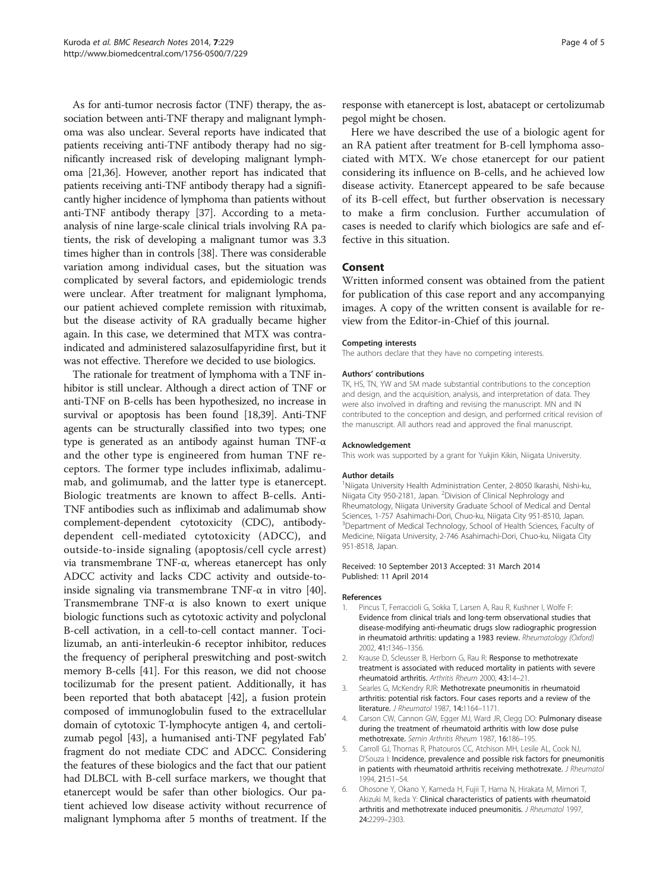<span id="page-3-0"></span>As for anti-tumor necrosis factor (TNF) therapy, the association between anti-TNF therapy and malignant lymphoma was also unclear. Several reports have indicated that patients receiving anti-TNF antibody therapy had no significantly increased risk of developing malignant lymphoma [\[21,36](#page-4-0)]. However, another report has indicated that patients receiving anti-TNF antibody therapy had a significantly higher incidence of lymphoma than patients without anti-TNF antibody therapy [\[37\]](#page-4-0). According to a metaanalysis of nine large-scale clinical trials involving RA patients, the risk of developing a malignant tumor was 3.3 times higher than in controls [[38\]](#page-4-0). There was considerable variation among individual cases, but the situation was complicated by several factors, and epidemiologic trends were unclear. After treatment for malignant lymphoma, our patient achieved complete remission with rituximab, but the disease activity of RA gradually became higher again. In this case, we determined that MTX was contraindicated and administered salazosulfapyridine first, but it was not effective. Therefore we decided to use biologics.

The rationale for treatment of lymphoma with a TNF inhibitor is still unclear. Although a direct action of TNF or anti-TNF on B-cells has been hypothesized, no increase in survival or apoptosis has been found [\[18,39](#page-4-0)]. Anti-TNF agents can be structurally classified into two types; one type is generated as an antibody against human TNF-α and the other type is engineered from human TNF receptors. The former type includes infliximab, adalimumab, and golimumab, and the latter type is etanercept. Biologic treatments are known to affect B-cells. Anti-TNF antibodies such as infliximab and adalimumab show complement-dependent cytotoxicity (CDC), antibodydependent cell-mediated cytotoxicity (ADCC), and outside-to-inside signaling (apoptosis/cell cycle arrest) via transmembrane TNF-α, whereas etanercept has only ADCC activity and lacks CDC activity and outside-to-inside signaling via transmembrane TNF-α in vitro [[40](#page-4-0)]. Transmembrane TNF-α is also known to exert unique biologic functions such as cytotoxic activity and polyclonal B-cell activation, in a cell-to-cell contact manner. Tocilizumab, an anti-interleukin-6 receptor inhibitor, reduces the frequency of peripheral preswitching and post-switch memory B-cells [\[41](#page-4-0)]. For this reason, we did not choose tocilizumab for the present patient. Additionally, it has been reported that both abatacept [\[42](#page-4-0)], a fusion protein composed of immunoglobulin fused to the extracellular domain of cytotoxic T-lymphocyte antigen 4, and certolizumab pegol [\[43](#page-4-0)], a humanised anti-TNF pegylated Fab' fragment do not mediate CDC and ADCC. Considering the features of these biologics and the fact that our patient had DLBCL with B-cell surface markers, we thought that etanercept would be safer than other biologics. Our patient achieved low disease activity without recurrence of malignant lymphoma after 5 months of treatment. If the response with etanercept is lost, abatacept or certolizumab pegol might be chosen.

Here we have described the use of a biologic agent for an RA patient after treatment for B-cell lymphoma associated with MTX. We chose etanercept for our patient considering its influence on B-cells, and he achieved low disease activity. Etanercept appeared to be safe because of its B-cell effect, but further observation is necessary to make a firm conclusion. Further accumulation of cases is needed to clarify which biologics are safe and effective in this situation.

### Consent

Written informed consent was obtained from the patient for publication of this case report and any accompanying images. A copy of the written consent is available for review from the Editor-in-Chief of this journal.

#### Competing interests

The authors declare that they have no competing interests.

#### Authors' contributions

TK, HS, TN, YW and SM made substantial contributions to the conception and design, and the acquisition, analysis, and interpretation of data. They were also involved in drafting and revising the manuscript. MN and IN contributed to the conception and design, and performed critical revision of the manuscript. All authors read and approved the final manuscript.

#### Acknowledgement

This work was supported by a grant for Yukjin Kikin, Niigata University.

#### Author details

<sup>1</sup>Niigata University Health Administration Center, 2-8050 Ikarashi, Nishi-ku, Niigata City 950-2181, Japan. <sup>2</sup> Division of Clinical Nephrology and Rheumatology, Niigata University Graduate School of Medical and Dental Sciences, 1-757 Asahimachi-Dori, Chuo-ku, Niigata City 951-8510, Japan. <sup>3</sup>Department of Medical Technology, School of Health Sciences, Faculty of Medicine, Niigata University, 2-746 Asahimachi-Dori, Chuo-ku, Niigata City 951-8518, Japan.

#### Received: 10 September 2013 Accepted: 31 March 2014 Published: 11 April 2014

#### References

- 1. Pincus T, Ferraccioli G, Sokka T, Larsen A, Rau R, Kushner I, Wolfe F: Evidence from clinical trials and long-term observational studies that disease-modifying anti-rheumatic drugs slow radiographic progression in rheumatoid arthritis: updating a 1983 review. Rheumatology (Oxford) 2002, 41:1346–1356.
- Krause D, Scleusser B, Herborn G, Rau R: Response to methotrexate treatment is associated with reduced mortality in patients with severe rheumatoid arthritis. Arthritis Rheum 2000, 43:14–21.
- 3. Searles G, McKendry RJR: Methotrexate pneumonitis in rheumatoid arthritis: potential risk factors. Four cases reports and a review of the literature. J Rheumatol 1987, 14:1164–1171.
- 4. Carson CW, Cannon GW, Egger MJ, Ward JR, Clegg DO: Pulmonary disease during the treatment of rheumatoid arthritis with low dose pulse methotrexate. Semin Arthritis Rheum 1987, 16:186–195.
- 5. Carroll GJ, Thomas R, Phatouros CC, Atchison MH, Lesile AL, Cook NJ, D'Souza I: Incidence, prevalence and possible risk factors for pneumonitis in patients with rheumatoid arthritis receiving methotrexate. J Rheumatol 1994, 21:51–54.
- 6. Ohosone Y, Okano Y, Kameda H, Fujii T, Hama N, Hirakata M, Mimori T, Akizuki M, Ikeda Y: Clinical characteristics of patients with rheumatoid arthritis and methotrexate induced pneumonitis. J Rheumatol 1997, 24:2299–2303.